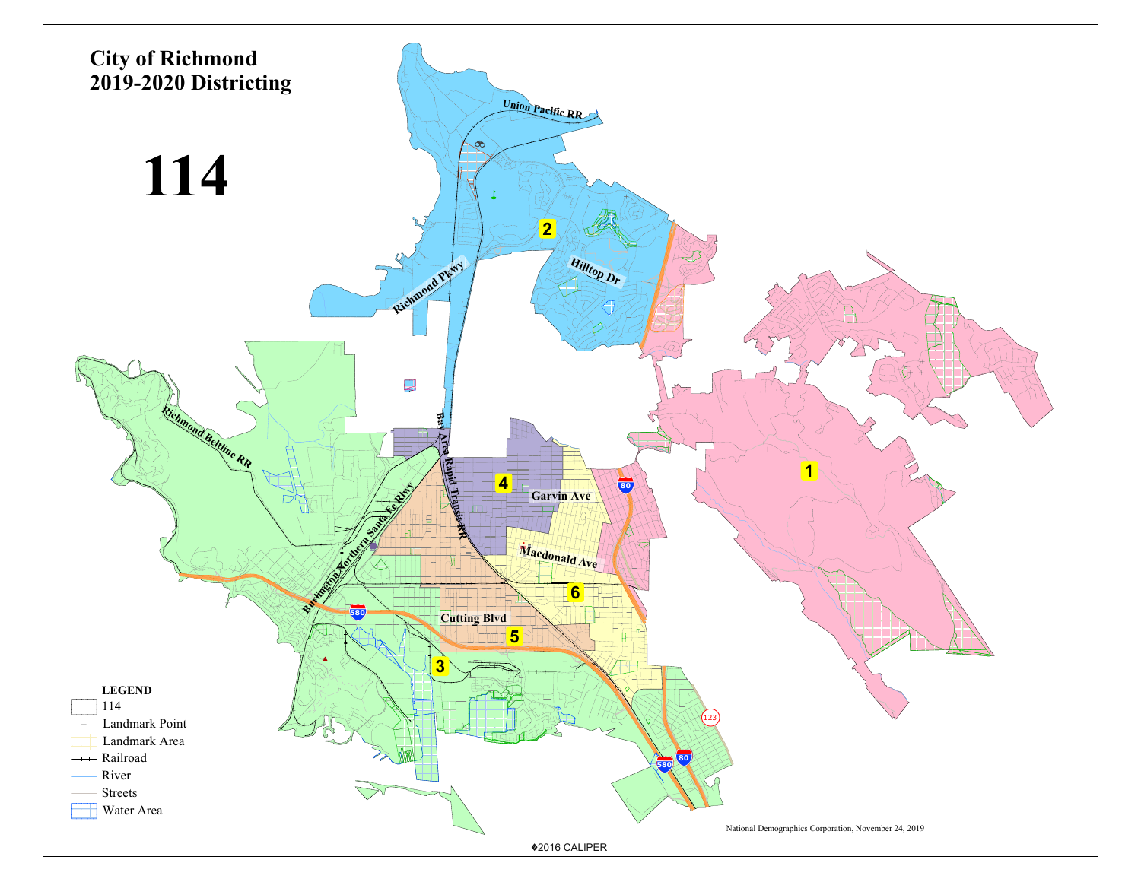